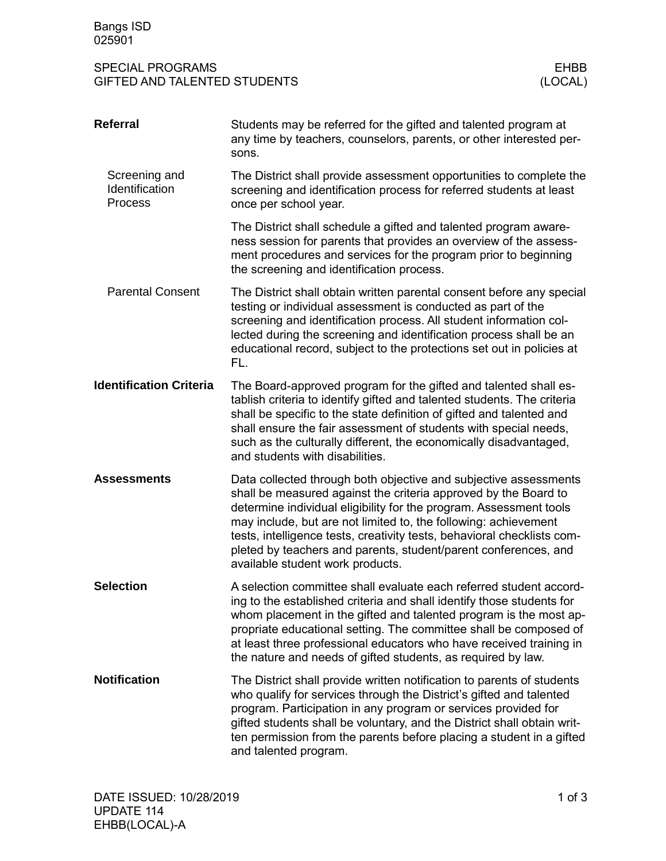| <b>SPECIAL PROGRAMS</b>      | EHBB    |
|------------------------------|---------|
| GIFTED AND TALENTED STUDENTS | (LOCAL) |

| <b>Referral</b>                                   | Students may be referred for the gifted and talented program at<br>any time by teachers, counselors, parents, or other interested per-<br>sons.                                                                                                                                                                                                                                                                                                                |
|---------------------------------------------------|----------------------------------------------------------------------------------------------------------------------------------------------------------------------------------------------------------------------------------------------------------------------------------------------------------------------------------------------------------------------------------------------------------------------------------------------------------------|
| Screening and<br>Identification<br><b>Process</b> | The District shall provide assessment opportunities to complete the<br>screening and identification process for referred students at least<br>once per school year.                                                                                                                                                                                                                                                                                            |
|                                                   | The District shall schedule a gifted and talented program aware-<br>ness session for parents that provides an overview of the assess-<br>ment procedures and services for the program prior to beginning<br>the screening and identification process.                                                                                                                                                                                                          |
| <b>Parental Consent</b>                           | The District shall obtain written parental consent before any special<br>testing or individual assessment is conducted as part of the<br>screening and identification process. All student information col-<br>lected during the screening and identification process shall be an<br>educational record, subject to the protections set out in policies at<br>FL.                                                                                              |
| <b>Identification Criteria</b>                    | The Board-approved program for the gifted and talented shall es-<br>tablish criteria to identify gifted and talented students. The criteria<br>shall be specific to the state definition of gifted and talented and<br>shall ensure the fair assessment of students with special needs,<br>such as the culturally different, the economically disadvantaged,<br>and students with disabilities.                                                                |
| <b>Assessments</b>                                | Data collected through both objective and subjective assessments<br>shall be measured against the criteria approved by the Board to<br>determine individual eligibility for the program. Assessment tools<br>may include, but are not limited to, the following: achievement<br>tests, intelligence tests, creativity tests, behavioral checklists com-<br>pleted by teachers and parents, student/parent conferences, and<br>available student work products. |
| <b>Selection</b>                                  | A selection committee shall evaluate each referred student accord-<br>ing to the established criteria and shall identify those students for<br>whom placement in the gifted and talented program is the most ap-<br>propriate educational setting. The committee shall be composed of<br>at least three professional educators who have received training in<br>the nature and needs of gifted students, as required by law.                                   |
| <b>Notification</b>                               | The District shall provide written notification to parents of students<br>who qualify for services through the District's gifted and talented<br>program. Participation in any program or services provided for<br>gifted students shall be voluntary, and the District shall obtain writ-<br>ten permission from the parents before placing a student in a gifted<br>and talented program.                                                                    |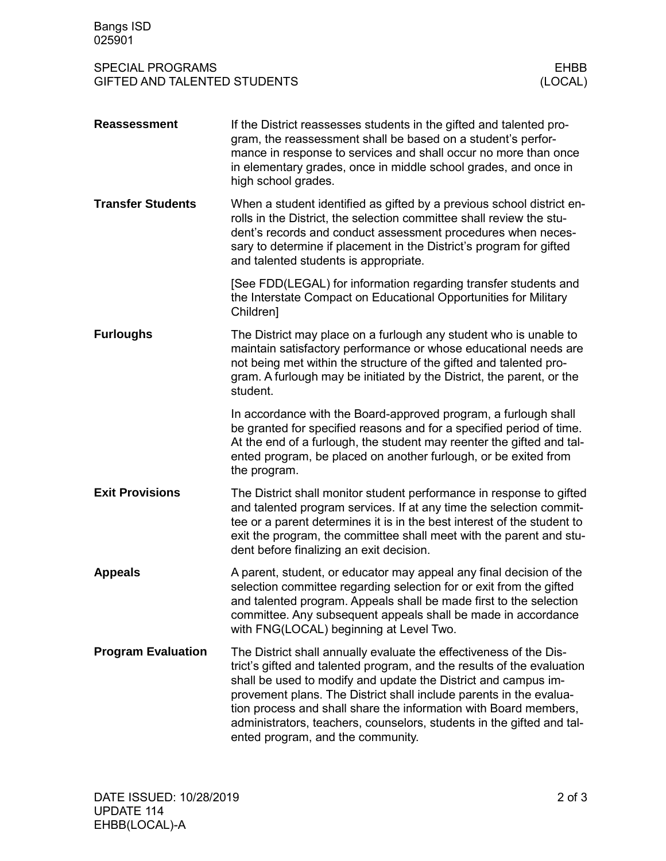| <b>Bangs ISD</b><br>025901                                     |                                                                                                                                                                                                                                                                                                                                                                                                                                                                        |                        |
|----------------------------------------------------------------|------------------------------------------------------------------------------------------------------------------------------------------------------------------------------------------------------------------------------------------------------------------------------------------------------------------------------------------------------------------------------------------------------------------------------------------------------------------------|------------------------|
| <b>SPECIAL PROGRAMS</b><br><b>GIFTED AND TALENTED STUDENTS</b> |                                                                                                                                                                                                                                                                                                                                                                                                                                                                        | <b>EHBB</b><br>(LOCAL) |
| <b>Reassessment</b>                                            | If the District reassesses students in the gifted and talented pro-<br>gram, the reassessment shall be based on a student's perfor-<br>mance in response to services and shall occur no more than once<br>in elementary grades, once in middle school grades, and once in<br>high school grades.                                                                                                                                                                       |                        |
| <b>Transfer Students</b>                                       | When a student identified as gifted by a previous school district en-<br>rolls in the District, the selection committee shall review the stu-<br>dent's records and conduct assessment procedures when neces-<br>sary to determine if placement in the District's program for gifted<br>and talented students is appropriate.                                                                                                                                          |                        |
|                                                                | [See FDD(LEGAL) for information regarding transfer students and<br>the Interstate Compact on Educational Opportunities for Military<br>Children]                                                                                                                                                                                                                                                                                                                       |                        |
| <b>Furloughs</b>                                               | The District may place on a furlough any student who is unable to<br>maintain satisfactory performance or whose educational needs are<br>not being met within the structure of the gifted and talented pro-<br>gram. A furlough may be initiated by the District, the parent, or the<br>student.                                                                                                                                                                       |                        |
|                                                                | In accordance with the Board-approved program, a furlough shall<br>be granted for specified reasons and for a specified period of time.<br>At the end of a furlough, the student may reenter the gifted and tal-<br>ented program, be placed on another furlough, or be exited from<br>the program.                                                                                                                                                                    |                        |
| <b>Exit Provisions</b>                                         | The District shall monitor student performance in response to gifted<br>and talented program services. If at any time the selection commit-<br>tee or a parent determines it is in the best interest of the student to<br>exit the program, the committee shall meet with the parent and stu-<br>dent before finalizing an exit decision.                                                                                                                              |                        |
| <b>Appeals</b>                                                 | A parent, student, or educator may appeal any final decision of the<br>selection committee regarding selection for or exit from the gifted<br>and talented program. Appeals shall be made first to the selection<br>committee. Any subsequent appeals shall be made in accordance<br>with FNG(LOCAL) beginning at Level Two.                                                                                                                                           |                        |
| <b>Program Evaluation</b>                                      | The District shall annually evaluate the effectiveness of the Dis-<br>trict's gifted and talented program, and the results of the evaluation<br>shall be used to modify and update the District and campus im-<br>provement plans. The District shall include parents in the evalua-<br>tion process and shall share the information with Board members,<br>administrators, teachers, counselors, students in the gifted and tal-<br>ented program, and the community. |                        |